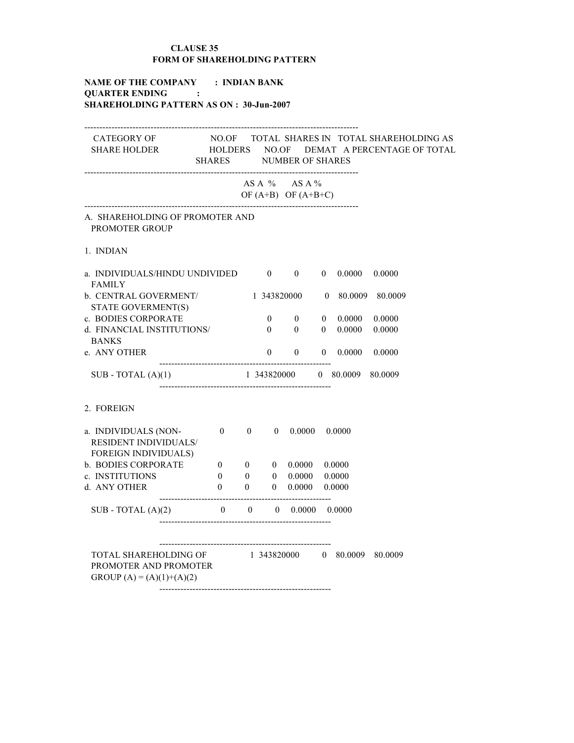## CLAUSE 35 FORM OF SHAREHOLDING PATTERN

# NAME OF THE COMPANY : INDIAN BANK QUARTER ENDING : SHAREHOLDING PATTERN AS ON : 30-Jun-2007

| CATEGORY OF NO.OF TOTAL SHARES IN TOTAL SHAREHOLDING AS<br>SHARE HOLDER                      HOLDERS      NO.OF      DEMAT   A PERCENTAGE OF TOTAL | <b>SHARES</b>                     |                |                          | <b>NUMBER OF SHARES</b>                        |                |                           |                  |
|----------------------------------------------------------------------------------------------------------------------------------------------------|-----------------------------------|----------------|--------------------------|------------------------------------------------|----------------|---------------------------|------------------|
|                                                                                                                                                    |                                   |                |                          | $AS A \%$ $AS A \%$<br>OF $(A+B)$ OF $(A+B+C)$ |                |                           |                  |
| A. SHAREHOLDING OF PROMOTER AND<br><b>PROMOTER GROUP</b>                                                                                           |                                   |                |                          |                                                |                |                           |                  |
| 1. INDIAN                                                                                                                                          |                                   |                |                          |                                                |                |                           |                  |
| a. INDIVIDUALS/HINDU UNDIVIDED 0 0<br><b>FAMILY</b>                                                                                                |                                   |                |                          |                                                | $\mathbf{0}$   | 0.0000                    | 0.0000           |
| b. CENTRAL GOVERMENT/ 1 343820000 0 80.0009 80.0009                                                                                                |                                   |                |                          |                                                |                |                           |                  |
| STATE GOVERMENT(S)                                                                                                                                 |                                   |                |                          |                                                |                |                           |                  |
| c. BODIES CORPORATE<br>d. FINANCIAL INSTITUTIONS/                                                                                                  |                                   |                | $\mathbf{0}$<br>$\theta$ | $\mathbf{0}$<br>$\overline{0}$                 | $\overline{0}$ | $0\quad 0.0000$<br>0.0000 | 0.0000<br>0.0000 |
| <b>BANKS</b>                                                                                                                                       |                                   |                |                          |                                                |                |                           |                  |
| e. ANY OTHER                                                                                                                                       |                                   |                |                          | $0\qquad 0$                                    | $\mathbf{0}$   | 0.0000                    | 0.0000           |
| $SUB - TOTAL(A)(1)$                                                                                                                                | 1 343820000  0 80.0009  80.0009   |                |                          |                                                |                |                           |                  |
| 2. FOREIGN                                                                                                                                         |                                   |                |                          |                                                |                |                           |                  |
| a. INDIVIDUALS (NON-<br>RESIDENT INDIVIDUALS/<br><b>FOREIGN INDIVIDUALS)</b>                                                                       | $0 \t 0 \t 0 \t 0.0000 \t 0.0000$ |                |                          |                                                |                |                           |                  |
| b. BODIES CORPORATE                                                                                                                                | $\overline{\mathbf{0}}$           |                |                          | $0$ 0 0.0000 0.0000                            |                |                           |                  |
| c. INSTITUTIONS                                                                                                                                    | $\overline{\mathbf{0}}$           |                |                          | $0\qquad \quad 0\quad \  0.0000$               |                | 0.0000                    |                  |
| d. ANY OTHER                                                                                                                                       | $\overline{\mathbf{0}}$           | $\overline{0}$ |                          | $0$ 0.0000 0.0000                              |                |                           |                  |
| SUB - TOTAL $(A)(2)$ 0 0 0.0000 0.0000                                                                                                             |                                   |                |                          |                                                |                |                           |                  |
| TOTAL SHAREHOLDING OF 1 343820000 0 80.0009 80.0009<br>PROMOTER AND PROMOTER<br>GROUP $(A) = (A)(1)+(A)(2)$                                        |                                   |                |                          |                                                |                |                           |                  |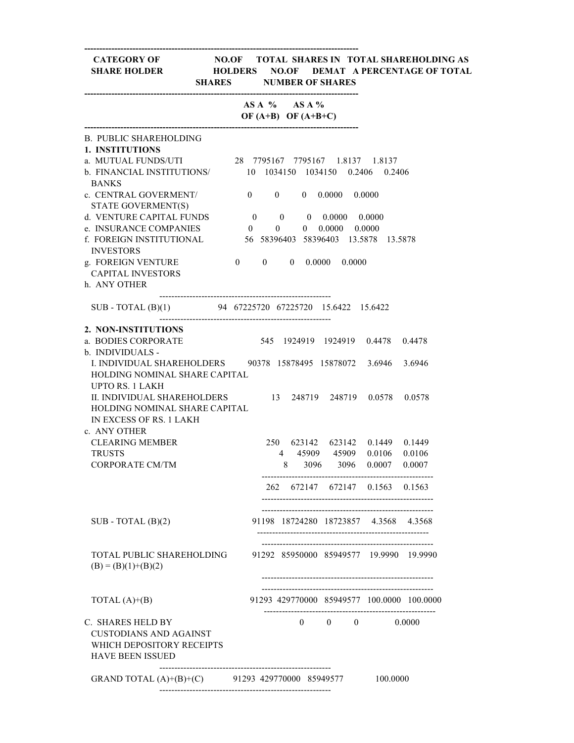### CATEGORY OF NO.OF TOTAL SHARES IN TOTAL SHAREHOLDING AS SHARE HOLDER HOLDERS NO.OF DEMAT A PERCENTAGE OF TOTAL SHARES NUMBER OF SHARES

|                                                                                                                                                                                |          |  | AS A $%$ AS A $%$<br>OF $(A+B)$ OF $(A+B+C)$ |                                   |                                            |        |
|--------------------------------------------------------------------------------------------------------------------------------------------------------------------------------|----------|--|----------------------------------------------|-----------------------------------|--------------------------------------------|--------|
| <b>B. PUBLIC SHAREHOLDING</b><br><b>1. INSTITUTIONS</b><br>a. MUTUAL FUNDS/UTI 28 7795167 7795167 1.8137 1.8137<br>b. FINANCIAL INSTITUTIONS/ 10 1034150 1034150 0.2406 0.2406 |          |  |                                              |                                   |                                            |        |
| <b>BANKS</b><br>c. CENTRAL GOVERMENT/                                                                                                                                          |          |  |                                              | $0 \t 0 \t 0 \t 0.0000 \t 0.0000$ |                                            |        |
| STATE GOVERMENT(S)                                                                                                                                                             |          |  |                                              |                                   |                                            |        |
| d. VENTURE CAPITAL FUNDS 0 0 0.0000 0.0000                                                                                                                                     |          |  |                                              |                                   |                                            |        |
| e. INSURANCE COMPANIES                                                                                                                                                         | $\sim$ 0 |  |                                              | $0 \t 0 \t 0.0000 \t 0.0000$      |                                            |        |
| f. FOREIGN INSTITUTIONAL<br><b>INVESTORS</b>                                                                                                                                   |          |  |                                              |                                   | 56 58396403 58396403 13.5878 13.5878       |        |
| g. FOREIGN VENTURE                                                                                                                                                             |          |  |                                              | $0 \t 0 \t 0 \t 0.0000 \t 0.0000$ |                                            |        |
| <b>CAPITAL INVESTORS</b>                                                                                                                                                       |          |  |                                              |                                   |                                            |        |
| h. ANY OTHER                                                                                                                                                                   |          |  |                                              |                                   |                                            |        |
| SUB - TOTAL (B)(1) 94 67225720 67225720 15.6422 15.6422                                                                                                                        |          |  |                                              |                                   |                                            |        |
| 2. NON-INSTITUTIONS                                                                                                                                                            |          |  |                                              |                                   |                                            |        |
| a. BODIES CORPORATE                                                                                                                                                            |          |  |                                              |                                   | 545 1924919 1924919 0.4478 0.4478          |        |
| b. INDIVIDUALS -                                                                                                                                                               |          |  |                                              |                                   |                                            |        |
| I. INDIVIDUAL SHAREHOLDERS 90378 15878495 15878072 3.6946 3.6946                                                                                                               |          |  |                                              |                                   |                                            |        |
| HOLDING NOMINAL SHARE CAPITAL                                                                                                                                                  |          |  |                                              |                                   |                                            |        |
| <b>UPTO RS. 1 LAKH</b><br>II. INDIVIDUAL SHAREHOLDERS<br>HOLDING NOMINAL SHARE CAPITAL<br>IN EXCESS OF RS. 1 LAKH<br>c. ANY OTHER                                              |          |  |                                              |                                   | 13 248719 248719 0.0578 0.0578             |        |
| <b>CLEARING MEMBER</b>                                                                                                                                                         |          |  |                                              |                                   | 250 623142 623142 0.1449 0.1449            |        |
| <b>TRUSTS</b>                                                                                                                                                                  |          |  |                                              |                                   | 4 45909 45909 0.0106 0.0106                |        |
| <b>CORPORATE CM/TM</b>                                                                                                                                                         |          |  |                                              |                                   | 8 3096 3096 0.0007                         | 0.0007 |
|                                                                                                                                                                                |          |  |                                              |                                   | 262 672147 672147 0.1563 0.1563            |        |
|                                                                                                                                                                                |          |  |                                              |                                   |                                            |        |
| $SUB - TOTAL (B)(2)$                                                                                                                                                           |          |  |                                              |                                   | 91198 18724280 18723857 4.3568             | 4.3568 |
| TOTAL PUBLIC SHAREHOLDING<br>$(B) = (B)(1)+(B)(2)$                                                                                                                             |          |  |                                              |                                   | 91292 85950000 85949577 19.9990 19.9990    |        |
| TOTAL $(A)+(B)$                                                                                                                                                                |          |  |                                              |                                   | 91293 429770000 85949577 100.0000 100.0000 |        |
| C. SHARES HELD BY<br><b>CUSTODIANS AND AGAINST</b><br>WHICH DEPOSITORY RECEIPTS<br><b>HAVE BEEN ISSUED</b>                                                                     |          |  |                                              |                                   | $0 \t 0 \t 0 \t 0.0000$                    |        |
| GRAND TOTAL (A)+(B)+(C) 91293 429770000 85949577                                                                                                                               |          |  |                                              |                                   | 100.0000                                   |        |

---------------------------------------------------------

-------------------------------------------------------------------------------------------

-------------------------------------------------------------------------------------------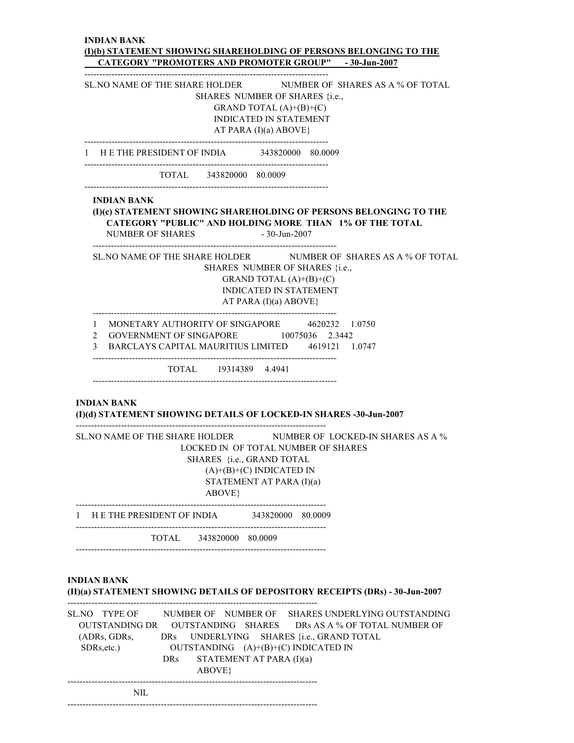#### INDIAN BANK (I)(b) STATEMENT SHOWING SHAREHOLDING OF PERSONS BELONGING TO THE CATEGORY "PROMOTERS AND PROMOTER GROUP" - 30-Jun-2007

--------------------------------------------------------------------------------- SL. NO NAME OF THE SHARE HOLDER NUMBER OF SHARES AS A % OF TOTAL SHARES NUMBER OF SHARES {i.e., GRAND TOTAL  $(A)+(B)+(C)$  INDICATED IN STATEMENT AT PARA (I)(a) ABOVE} --------------------------------------------------------------------------------- 1 H E THE PRESIDENT OF INDIA 343820000 80.0009 --------------------------------------------------------------------------------- TOTAL 343820000 80.0009 --------------------------------------------------------------------------------- INDIAN BANK (I)(c) STATEMENT SHOWING SHAREHOLDING OF PERSONS BELONGING TO THE CATEGORY "PUBLIC" AND HOLDING MORE THAN 1% OF THE TOTAL NUMBER OF SHARES - 30-Jun-2007 --------------------------------------------------------------------------------- SL.NO NAME OF THE SHARE HOLDER NUMBER OF SHARES AS A % OF TOTAL SHARES NUMBER OF SHARES {i.e., GRAND TOTAL  $(A)+(B)+(C)$  INDICATED IN STATEMENT AT PARA  $(I)(a)$  ABOVE} --------------------------------------------------------------------------------- 1 MONETARY AUTHORITY OF SINGAPORE 4620232 1.0750 2 GOVERNMENT OF SINGAPORE 10075036 2.3442 3 BARCLAYS CAPITAL MAURITIUS LIMITED 4619121 1.0747 --------------------------------------------------------------------------------- TOTAL 19314389 4.4941 --------------------------------------------------------------------------------- INDIAN BANK (I)(d) STATEMENT SHOWING DETAILS OF LOCKED-IN SHARES -30-Jun-2007 -----------------------------------------------------------------------------------

| SL NO NAME OF THE SHARE HOLDER NUMBER OF LOCKED-IN SHARES AS A %<br>LOCKED IN OF TOTAL NUMBER OF SHARES<br>SHARES {i.e., GRAND TOTAL<br>$(A)+(B)+(C)$ INDICATED IN<br>STATEMENT AT PARA (I)(a)<br>ABOVE |                            |                   |  |  |  |  |  |
|---------------------------------------------------------------------------------------------------------------------------------------------------------------------------------------------------------|----------------------------|-------------------|--|--|--|--|--|
|                                                                                                                                                                                                         | H E THE PRESIDENT OF INDIA | 343820000 80.0009 |  |  |  |  |  |
|                                                                                                                                                                                                         | TOTAL 343820000 80.0009    |                   |  |  |  |  |  |

### INDIAN BANK

(II)(a) STATEMENT SHOWING DETAILS OF DEPOSITORY RECEIPTS (DRs) - 30-Jun-2007

| SL.NO TYPE OF<br>(ADRs, GDRs,<br>$SDRs, etc.$ ) | DRs   | STATEMENT AT PARA (I)(a) | NUMBER OF NUMBER OF SHARES UNDERLYING OUTSTANDING<br>OUTSTANDING DR OUTSTANDING SHARES DRs AS A % OF TOTAL NUMBER OF<br>DRS UNDERLYING SHARES {i.e., GRAND TOTAL<br>OUTSTANDING $(A)+(B)+(C)$ INDICATED IN |  |
|-------------------------------------------------|-------|--------------------------|------------------------------------------------------------------------------------------------------------------------------------------------------------------------------------------------------------|--|
|                                                 | ABOVE |                          |                                                                                                                                                                                                            |  |
| NIL.                                            |       |                          |                                                                                                                                                                                                            |  |

-----------------------------------------------------------------------------------